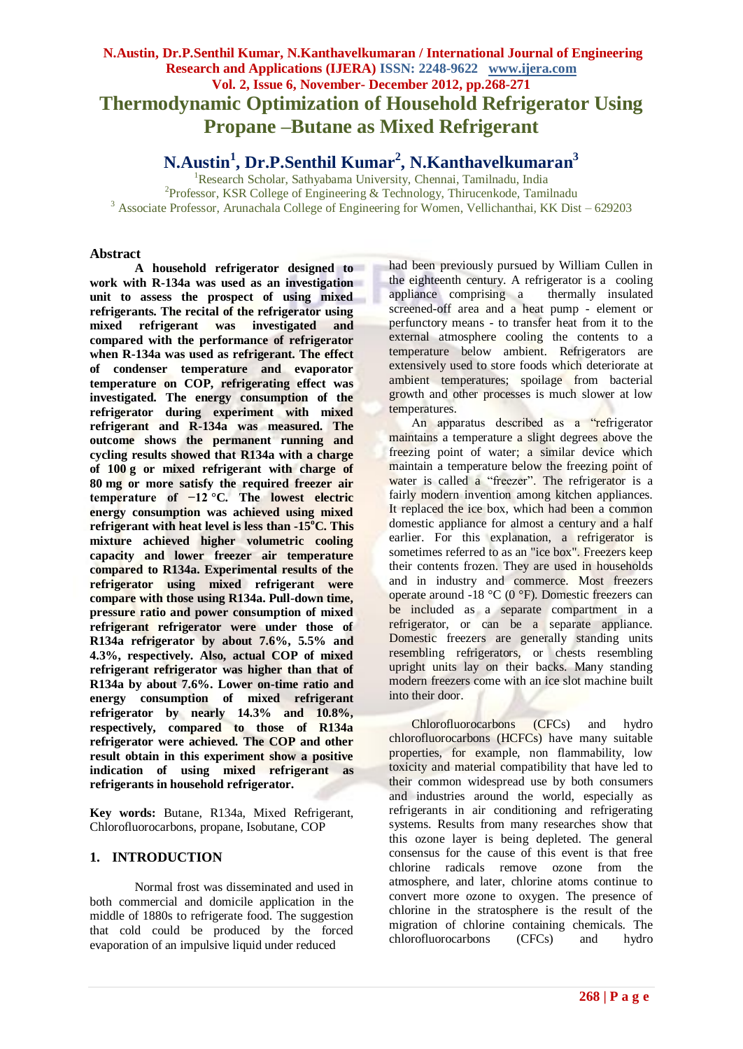## **N.Austin, Dr.P.Senthil Kumar, N.Kanthavelkumaran / International Journal of Engineering Research and Applications (IJERA) ISSN: 2248-9622 www.ijera.com Vol. 2, Issue 6, November- December 2012, pp.268-271 Thermodynamic Optimization of Household Refrigerator Using Propane –Butane as Mixed Refrigerant**

# **N.Austin<sup>1</sup> , Dr.P.Senthil Kumar<sup>2</sup> , N.Kanthavelkumaran<sup>3</sup>**

<sup>1</sup>Research Scholar, Sathyabama University, Chennai, Tamilnadu, India <sup>2</sup>Professor, KSR College of Engineering & Technology, Thirucenkode, Tamilnadu <sup>3</sup> Associate Professor, Arunachala College of Engineering for Women, Vellichanthai, KK Dist – 629203

#### **Abstract**

**A household refrigerator designed to work with R-134a was used as an investigation unit to assess the prospect of using mixed refrigerants. The recital of the refrigerator using mixed refrigerant was investigated and compared with the performance of refrigerator when R-134a was used as refrigerant. The effect of condenser temperature and evaporator temperature on COP, refrigerating effect was investigated. The energy consumption of the refrigerator during experiment with mixed refrigerant and R-134a was measured. The outcome shows the permanent running and cycling results showed that R134a with a charge of 100 g or mixed refrigerant with charge of 80 mg or more satisfy the required freezer air temperature of −12 °C. The lowest electric energy consumption was achieved using mixed refrigerant with heat level is less than -15<sup>o</sup>C. This mixture achieved higher volumetric cooling capacity and lower freezer air temperature compared to R134a. Experimental results of the refrigerator using mixed refrigerant were compare with those using R134a. Pull-down time, pressure ratio and power consumption of mixed refrigerant refrigerator were under those of R134a refrigerator by about 7.6%, 5.5% and 4.3%, respectively. Also, actual COP of mixed refrigerant refrigerator was higher than that of R134a by about 7.6%. Lower on-time ratio and energy consumption of mixed refrigerant refrigerator by nearly 14.3% and 10.8%, respectively, compared to those of R134a refrigerator were achieved. The COP and other result obtain in this experiment show a positive indication of using mixed refrigerant as refrigerants in household refrigerator.**

**Key words:** Butane, R134a, Mixed Refrigerant, Chlorofluorocarbons, propane, Isobutane, COP

## **1. INTRODUCTION**

Normal frost was disseminated and used in both commercial and domicile application in the middle of 1880s to refrigerate food. The suggestion that cold could be produced by the forced evaporation of an impulsive liquid under reduced

had been previously pursued by William Cullen in the eighteenth century. A refrigerator is a cooling appliance comprising a thermally insulated screened-off area and a heat pump - element or perfunctory means - to transfer heat from it to the external atmosphere cooling the contents to a temperature below ambient. Refrigerators are extensively used to store foods which deteriorate at ambient temperatures; spoilage from bacterial growth and other processes is much slower at low temperatures.

An apparatus described as a "refrigerator maintains a temperature a slight degrees above the freezing point of water; a similar device which maintain a temperature below the freezing point of water is called a "freezer". The refrigerator is a fairly modern invention among kitchen appliances. It replaced the ice box, which had been a common domestic appliance for almost a century and a half earlier. For this explanation, a refrigerator is sometimes referred to as an "ice box". Freezers keep their contents frozen. They are used in households and in industry and commerce. Most freezers operate around -18 °C (0 °F). Domestic freezers can be included as a separate compartment in a refrigerator, or can be a separate appliance. Domestic freezers are generally standing units resembling refrigerators, or chests resembling upright units lay on their backs. Many standing modern freezers come with an ice slot machine built into their door.

Chlorofluorocarbons (CFCs) and hydro chlorofluorocarbons (HCFCs) have many suitable properties, for example, non flammability, low toxicity and material compatibility that have led to their common widespread use by both consumers and industries around the world, especially as refrigerants in air conditioning and refrigerating systems. Results from many researches show that this ozone layer is being depleted. The general consensus for the cause of this event is that free chlorine radicals remove ozone from the atmosphere, and later, chlorine atoms continue to convert more ozone to oxygen. The presence of chlorine in the stratosphere is the result of the migration of chlorine containing chemicals. The chlorofluorocarbons (CFCs) and hydro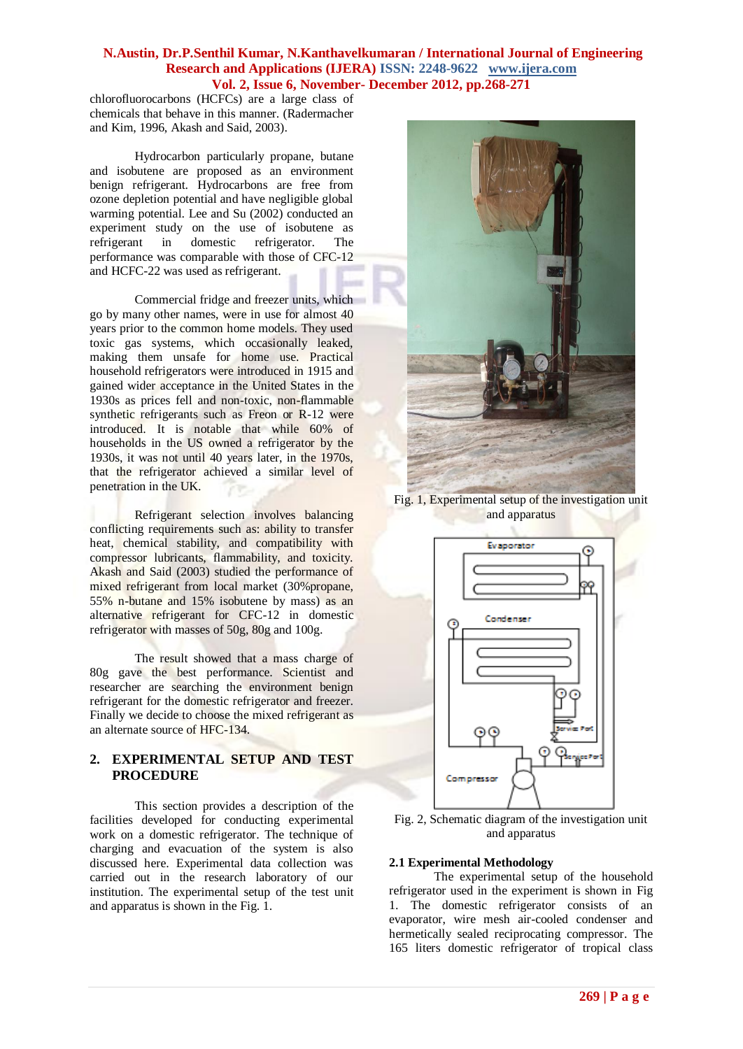#### **N.Austin, Dr.P.Senthil Kumar, N.Kanthavelkumaran / International Journal of Engineering Research and Applications (IJERA) ISSN: 2248-9622 www.ijera.com Vol. 2, Issue 6, November- December 2012, pp.268-271**

chlorofluorocarbons (HCFCs) are a large class of chemicals that behave in this manner. (Radermacher and Kim, 1996, Akash and Said, 2003).

Hydrocarbon particularly propane, butane and isobutene are proposed as an environment benign refrigerant. Hydrocarbons are free from ozone depletion potential and have negligible global warming potential. Lee and Su (2002) conducted an experiment study on the use of isobutene as refrigerant in domestic refrigerator. The performance was comparable with those of CFC-12 and HCFC-22 was used as refrigerant.

Commercial fridge and freezer units, which go by many other names, were in use for almost 40 years prior to the common home models. They used toxic gas systems, which occasionally leaked, making them unsafe for home use. Practical household refrigerators were introduced in 1915 and gained wider acceptance in the United States in the 1930s as prices fell and non-toxic, non-flammable synthetic refrigerants such as Freon or R-12 were introduced. It is notable that while 60% of households in the US owned a refrigerator by the 1930s, it was not until 40 years later, in the 1970s, that the refrigerator achieved a similar level of penetration in the UK.

Refrigerant selection involves balancing conflicting requirements such as: ability to transfer heat, chemical stability, and compatibility with compressor lubricants, flammability, and toxicity. Akash and Said (2003) studied the performance of mixed refrigerant from local market (30%propane, 55% n-butane and 15% isobutene by mass) as an alternative refrigerant for CFC-12 in domestic refrigerator with masses of 50g, 80g and 100g.

The result showed that a mass charge of 80g gave the best performance. Scientist and researcher are searching the environment benign refrigerant for the domestic refrigerator and freezer. Finally we decide to choose the mixed refrigerant as an alternate source of HFC-134.

## **2. EXPERIMENTAL SETUP AND TEST PROCEDURE**

This section provides a description of the facilities developed for conducting experimental work on a domestic refrigerator. The technique of charging and evacuation of the system is also discussed here. Experimental data collection was carried out in the research laboratory of our institution. The experimental setup of the test unit and apparatus is shown in the Fig. 1.



Fig. 1, Experimental setup of the investigation unit and apparatus



Fig. 2, Schematic diagram of the investigation unit and apparatus

#### **2.1 Experimental Methodology**

The experimental setup of the household refrigerator used in the experiment is shown in Fig 1. The domestic refrigerator consists of an evaporator, wire mesh air-cooled condenser and hermetically sealed reciprocating compressor. The 165 liters domestic refrigerator of tropical class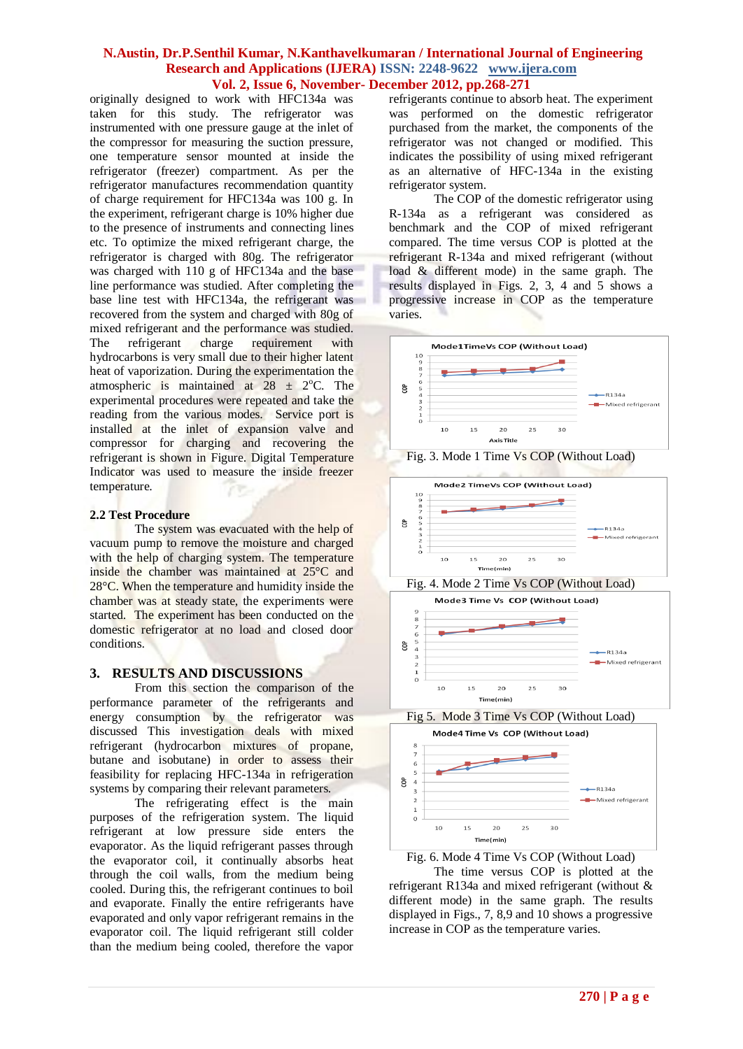#### **N.Austin, Dr.P.Senthil Kumar, N.Kanthavelkumaran / International Journal of Engineering Research and Applications (IJERA) ISSN: 2248-9622 www.ijera.com Vol. 2, Issue 6, November- December 2012, pp.268-271**

originally designed to work with HFC134a was taken for this study. The refrigerator was instrumented with one pressure gauge at the inlet of the compressor for measuring the suction pressure, one temperature sensor mounted at inside the refrigerator (freezer) compartment. As per the refrigerator manufactures recommendation quantity of charge requirement for HFC134a was 100 g. In the experiment, refrigerant charge is 10% higher due to the presence of instruments and connecting lines etc. To optimize the mixed refrigerant charge, the refrigerator is charged with 80g. The refrigerator was charged with 110 g of HFC134a and the base line performance was studied. After completing the base line test with HFC134a, the refrigerant was recovered from the system and charged with 80g of mixed refrigerant and the performance was studied. The refrigerant charge requirement with hydrocarbons is very small due to their higher latent heat of vaporization. During the experimentation the atmospheric is maintained at  $28 \pm 2$ °C. The experimental procedures were repeated and take the reading from the various modes. Service port is installed at the inlet of expansion valve and compressor for charging and recovering the refrigerant is shown in Figure. Digital Temperature Indicator was used to measure the inside freezer temperature.

#### **2.2 Test Procedure**

The system was evacuated with the help of vacuum pump to remove the moisture and charged with the help of charging system. The temperature inside the chamber was maintained at 25°C and 28°C. When the temperature and humidity inside the chamber was at steady state, the experiments were started. The experiment has been conducted on the domestic refrigerator at no load and closed door conditions.

#### **3. RESULTS AND DISCUSSIONS**

From this section the comparison of the performance parameter of the refrigerants and energy consumption by the refrigerator was discussed This investigation deals with mixed refrigerant (hydrocarbon mixtures of propane, butane and isobutane) in order to assess their feasibility for replacing HFC-134a in refrigeration systems by comparing their relevant parameters.

The refrigerating effect is the main purposes of the refrigeration system. The liquid refrigerant at low pressure side enters the evaporator. As the liquid refrigerant passes through the evaporator coil, it continually absorbs heat through the coil walls, from the medium being cooled. During this, the refrigerant continues to boil and evaporate. Finally the entire refrigerants have evaporated and only vapor refrigerant remains in the evaporator coil. The liquid refrigerant still colder than the medium being cooled, therefore the vapor refrigerants continue to absorb heat. The experiment was performed on the domestic refrigerator purchased from the market, the components of the refrigerator was not changed or modified. This indicates the possibility of using mixed refrigerant as an alternative of HFC-134a in the existing refrigerator system.

The COP of the domestic refrigerator using R-134a as a refrigerant was considered as benchmark and the COP of mixed refrigerant compared. The time versus COP is plotted at the refrigerant R-134a and mixed refrigerant (without load & different mode) in the same graph. The results displayed in Figs. 2, 3, 4 and 5 shows a progressive increase in COP as the temperature varies.







Fig. 4. Mode 2 Time Vs COP (Without Load)



Fig 5. Mode 3 Time Vs COP (Without Load)





The time versus COP is plotted at the refrigerant R134a and mixed refrigerant (without & different mode) in the same graph. The results displayed in Figs., 7, 8,9 and 10 shows a progressive increase in COP as the temperature varies.